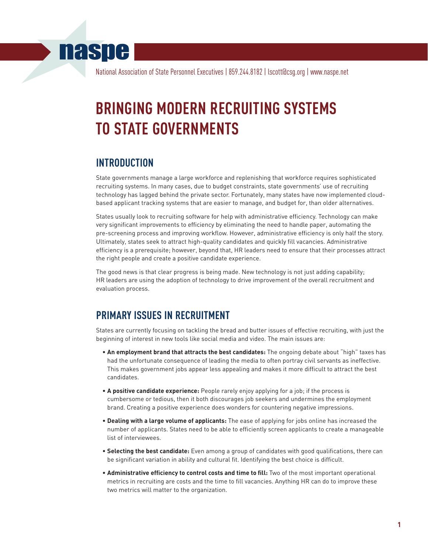## **naspe**

National Association of State Personnel Executives | 859.244.8182 | lscott@csg.org | www.naspe.net

# **BRINGING MODERN RECRUITING SYSTEMS TO STATE GOVERNMENTS**

## **INTRODUCTION**

State governments manage a large workforce and replenishing that workforce requires sophisticated recruiting systems. In many cases, due to budget constraints, state governments' use of recruiting technology has lagged behind the private sector. Fortunately, many states have now implemented cloudbased applicant tracking systems that are easier to manage, and budget for, than older alternatives.

States usually look to recruiting software for help with administrative efficiency. Technology can make very significant improvements to efficiency by eliminating the need to handle paper, automating the pre-screening process and improving workflow. However, administrative efficiency is only half the story. Ultimately, states seek to attract high-quality candidates and quickly fill vacancies. Administrative efficiency is a prerequisite; however, beyond that, HR leaders need to ensure that their processes attract the right people and create a positive candidate experience.

The good news is that clear progress is being made. New technology is not just adding capability; HR leaders are using the adoption of technology to drive improvement of the overall recruitment and evaluation process.

## **PRIMARY ISSUES IN RECRUITMENT**

States are currently focusing on tackling the bread and butter issues of effective recruiting, with just the beginning of interest in new tools like social media and video. The main issues are:

- **An employment brand that attracts the best candidates:** The ongoing debate about "high" taxes has had the unfortunate consequence of leading the media to often portray civil servants as ineffective. This makes government jobs appear less appealing and makes it more difficult to attract the best candidates.
- **A positive candidate experience:** People rarely enjoy applying for a job; if the process is cumbersome or tedious, then it both discourages job seekers and undermines the employment brand. Creating a positive experience does wonders for countering negative impressions.
- **Dealing with a large volume of applicants:** The ease of applying for jobs online has increased the number of applicants. States need to be able to efficiently screen applicants to create a manageable list of interviewees.
- **Selecting the best candidate:** Even among a group of candidates with good qualifications, there can be significant variation in ability and cultural fit. Identifying the best choice is difficult.
- **Administrative efficiency to control costs and time to fill:** Two of the most important operational metrics in recruiting are costs and the time to fill vacancies. Anything HR can do to improve these two metrics will matter to the organization.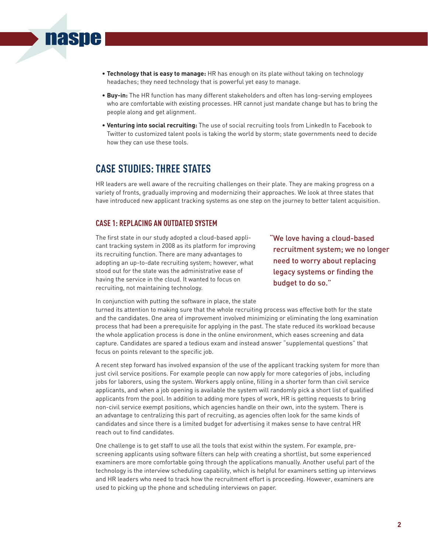- **Technology that is easy to manage:** HR has enough on its plate without taking on technology headaches; they need technology that is powerful yet easy to manage.
- **Buy-in:** The HR function has many different stakeholders and often has long-serving employees who are comfortable with existing processes. HR cannot just mandate change but has to bring the people along and get alignment.
- **Venturing into social recruiting:** The use of social recruiting tools from LinkedIn to Facebook to Twitter to customized talent pools is taking the world by storm; state governments need to decide how they can use these tools.

## **CASE STUDIES: THREE STATES**

**nasne** 

HR leaders are well aware of the recruiting challenges on their plate. They are making progress on a variety of fronts, gradually improving and modernizing their approaches. We look at three states that have introduced new applicant tracking systems as one step on the journey to better talent acquisition.

#### **CASE 1: REPLACING AN OUTDATED SYSTEM**

The first state in our study adopted a cloud-based applicant tracking system in 2008 as its platform for improving its recruiting function. There are many advantages to adopting an up-to-date recruiting system; however, what stood out for the state was the administrative ease of having the service in the cloud. It wanted to focus on recruiting, not maintaining technology.

"We love having a cloud-based recruitment system; we no longer need to worry about replacing legacy systems or finding the budget to do so."

In conjunction with putting the software in place, the state

turned its attention to making sure that the whole recruiting process was effective both for the state and the candidates. One area of improvement involved minimizing or eliminating the long examination process that had been a prerequisite for applying in the past. The state reduced its workload because the whole application process is done in the online environment, which eases screening and data capture. Candidates are spared a tedious exam and instead answer "supplemental questions" that focus on points relevant to the specific job.

A recent step forward has involved expansion of the use of the applicant tracking system for more than just civil service positions. For example people can now apply for more categories of jobs, including jobs for laborers, using the system. Workers apply online, filling in a shorter form than civil service applicants, and when a job opening is available the system will randomly pick a short list of qualified applicants from the pool. In addition to adding more types of work, HR is getting requests to bring non-civil service exempt positions, which agencies handle on their own, into the system. There is an advantage to centralizing this part of recruiting, as agencies often look for the same kinds of candidates and since there is a limited budget for advertising it makes sense to have central HR reach out to find candidates.

One challenge is to get staff to use all the tools that exist within the system. For example, prescreening applicants using software filters can help with creating a shortlist, but some experienced examiners are more comfortable going through the applications manually. Another useful part of the technology is the interview scheduling capability, which is helpful for examiners setting up interviews and HR leaders who need to track how the recruitment effort is proceeding. However, examiners are used to picking up the phone and scheduling interviews on paper.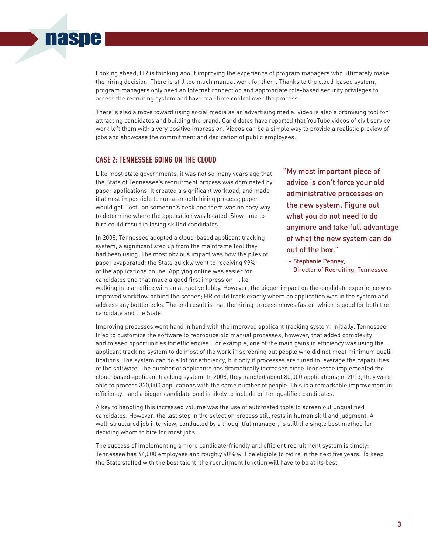Looking ahead, HR is thinking about improving the experience of program managers who ultimately make the hiring decision. There is still too much manual work for them. Thanks to the cloud-based system, program managers only need an Internet connection and appropriate role-based security privileges to access the recruiting system and have real-time control over the process.

There is also a move toward using social media as an advertising media. Video is also a promising tool for attracting candidates and building the brand. Candidates have reported that YouTube videos of civil service work left them with a very positive impression. Videos can be a simple way to provide a realistic preview of jobs and showcase the commitment and dedication of public employees.

#### **CASE 2: TENNESSEE GOING ON THE CLOUD**

**naspe** 

Like most state governments, it was not so many years ago that the State of Tennessee's recruitment process was dominated by paper applications. It created a significant workload, and made it almost impossible to run a smooth hiring process; paper would get "lost" on someone's desk and there was no easy way to determine where the application was located. Slow time to hire could result in losing skilled candidates.

In 2008, Tennessee adopted a cloud-based applicant tracking system, a significant step up from the mainframe tool they had been using. The most obvious impact was how the piles of paper evaporated; the State quickly went to receiving 99% of the applications online. Applying online was easier for candidates and that made a good first impression—like

"My most important piece of advice is don't force your old administrative processes on the new system. Figure out what you do not need to do anymore and take full advantage of what the new system can do out of the box."

– Stephanie Penney, Director of Recruiting, Tennessee

walking into an office with an attractive lobby. However, the bigger impact on the candidate experience was improved workflow behind the scenes; HR could track exactly where an application was in the system and address any bottlenecks. The end result is that the hiring process moves faster, which is good for both the candidate and the State.

Improving processes went hand in hand with the improved applicant tracking system. Initially, Tennessee tried to customize the software to reproduce old manual processes; however, that added complexity and missed opportunities for efficiencies. For example, one of the main gains in efficiency was using the applicant tracking system to do most of the work in screening out people who did not meet minimum qualifications. The system can do a lot for efficiency, but only if processes are tuned to leverage the capabilities of the software. The number of applicants has dramatically increased since Tennessee implemented the cloud-based applicant tracking system. In 2008, they handled about 80,000 applications; in 2013, they were able to process 330,000 applications with the same number of people. This is a remarkable improvement in efficiency—and a bigger candidate pool is likely to include better-qualified candidates.

A key to handling this increased volume was the use of automated tools to screen out unqualified candidates. However, the last step in the selection process still rests in human skill and judgment. A well-structured job interview, conducted by a thoughtful manager, is still the single best method for deciding whom to hire for most jobs.

The success of implementing a more candidate-friendly and efficient recruitment system is timely; Tennessee has 44,000 employees and roughly 40% will be eligible to retire in the next five years. To keep the State staffed with the best talent, the recruitment function will have to be at its best.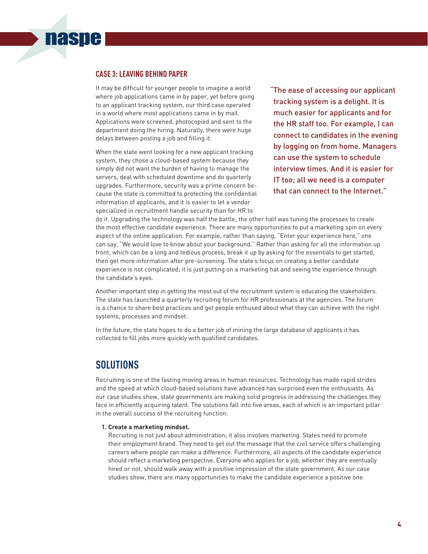#### **CASE 3: LEAVING BEHIND PAPER**

**naspe** 

It may be difficult for younger people to imagine a world where job applications came in by paper, yet before going to an applicant tracking system, our third case operated in a world where most applications came in by mail. Applications were screened, photocopied and sent to the department doing the hiring. Naturally, there were huge delays between posting a job and filling it.

When the state went looking for a new applicant tracking system, they chose a cloud-based system because they simply did not want the burden of having to manage the servers, deal with scheduled downtime and do quarterly upgrades. Furthermore, security was a prime concern because the state is committed to protecting the confidential information of applicants, and it is easier to let a vendor specialized in recruitment handle security than for HR to

"The ease of accessing our applicant tracking system is a delight. It is much easier for applicants and for the HR staff too. For example, I can connect to candidates in the evening by logging on from home. Managers can use the system to schedule interview times. And it is easier for IT too; all we need is a computer that can connect to the Internet."

do it. Upgrading the technology was half the battle; the other half was tuning the processes to create the most effective candidate experience. There are many opportunities to put a marketing spin on every aspect of the online application. For example, rather than saying, "Enter your experience here," one can say, "We would love to know about your background." Rather than asking for all the information up front, which can be a long and tedious process, break it up by asking for the essentials to get started, then get more information after pre-screening. The state's focus on creating a better candidate experience is not complicated; it is just putting on a marketing hat and seeing the experience through the candidate's eyes.

Another important step in getting the most out of the recruitment system is educating the stakeholders. The state has launched a quarterly recruiting forum for HR professionals at the agencies. The forum is a chance to share best practices and get people enthused about what they can achieve with the right systems, processes and mindset.

In the future, the state hopes to do a better job of mining the large database of applicants it has collected to fill jobs more quickly with qualified candidates.

### **SOLUTIONS**

Recruiting is one of the fasting moving areas in human resources. Technology has made rapid strides and the speed at which cloud-based solutions have advanced has surprised even the enthusiasts. As our case studies show, state governments are making solid progress in addressing the challenges they face in efficiently acquiring talent. The solutions fall into five areas, each of which is an important pillar in the overall success of the recruiting function:

#### **1. Create a marketing mindset.**

Recruiting is not just about administration; it also involves marketing. States need to promote their employment brand. They need to get out the message that the civil service offers challenging careers where people can make a difference. Furthermore, all aspects of the candidate experience should reflect a marketing perspective. Everyone who applies for a job, whether they are eventually hired or not, should walk away with a positive impression of the state government. As our case studies show, there are many opportunities to make the candidate experience a positive one.